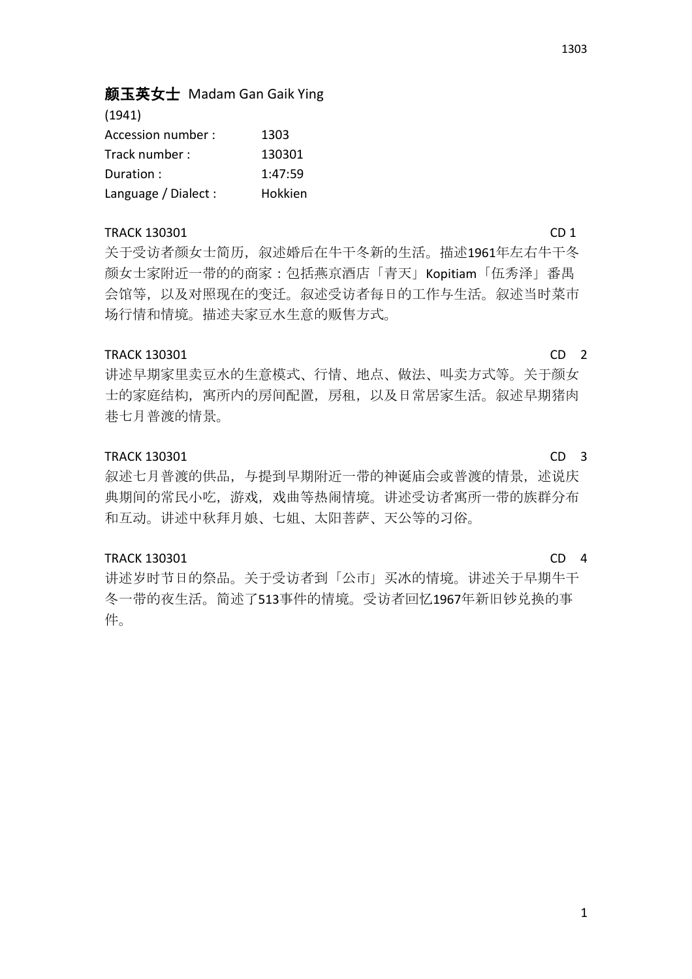1303

# 颜玉英女士 Madam Gan Gaik Ying

| (1941)               |         |
|----------------------|---------|
| Accession number :   | 1303    |
| Track number:        | 130301  |
| Duration:            | 1:47:59 |
| Language / Dialect : | Hokkien |

## TRACK 130301 CD 1

关于受访者颜女士简历,叙述婚后在牛干冬新的生活。描述1961年左右牛干冬 颜女士家附近一带的的商家:包括燕京酒店「青天」Kopitiam「伍秀泽」番禺 会馆等,以及对照现在的变迁。叙述受访者每日的工作与生活。叙述当时菜市 场行情和情境。描述夫家豆水生意的贩售方式。

# TRACK 130301 CD 2

讲述早期家里卖豆水的生意模式、行情、地点、做法、叫卖方式等。关于颜女 士的家庭结构,寓所内的房间配置,房租,以及日常居家生活。叙述早期猪肉 巷七月普渡的情景。

### TRACK 130301 CD 3

叙述七月普渡的供品, 与提到早期附近一带的神诞庙会或普渡的情景, 述说庆 典期间的常民小吃,游戏,戏曲等热闹情境。讲述受访者寓所一带的族群分布 和互动。讲述中秋拜月娘、七姐、太阳菩萨、天公等的习俗。

### TRACK 130301 CD 4

讲述岁时节日的祭品。关于受访者到「公市」买冰的情境。讲述关于早期牛干 冬一带的夜生活。简述了513事件的情境。受访者回忆1967年新旧钞兑换的事 件。